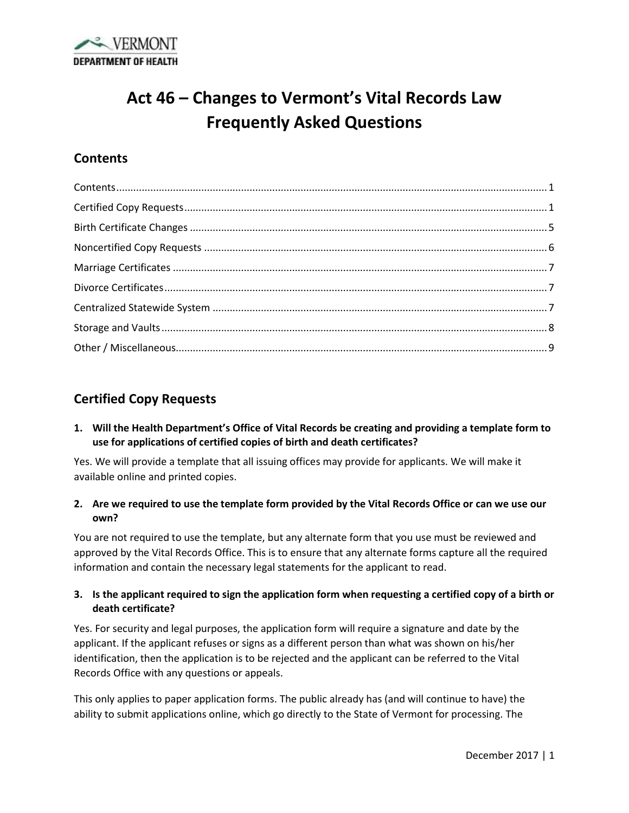

# **Act 46 – Changes to Vermont's Vital Records Law Frequently Asked Questions**

# <span id="page-0-0"></span>**Contents**

# <span id="page-0-1"></span>**Certified Copy Requests**

**1. Will the Health Department's Office of Vital Records be creating and providing a template form to use for applications of certified copies of birth and death certificates?**

Yes. We will provide a template that all issuing offices may provide for applicants. We will make it available online and printed copies.

**2. Are we required to use the template form provided by the Vital Records Office or can we use our own?**

You are not required to use the template, but any alternate form that you use must be reviewed and approved by the Vital Records Office. This is to ensure that any alternate forms capture all the required information and contain the necessary legal statements for the applicant to read.

#### **3. Is the applicant required to sign the application form when requesting a certified copy of a birth or death certificate?**

Yes. For security and legal purposes, the application form will require a signature and date by the applicant. If the applicant refuses or signs as a different person than what was shown on his/her identification, then the application is to be rejected and the applicant can be referred to the Vital Records Office with any questions or appeals.

This only applies to paper application forms. The public already has (and will continue to have) the ability to submit applications online, which go directly to the State of Vermont for processing. The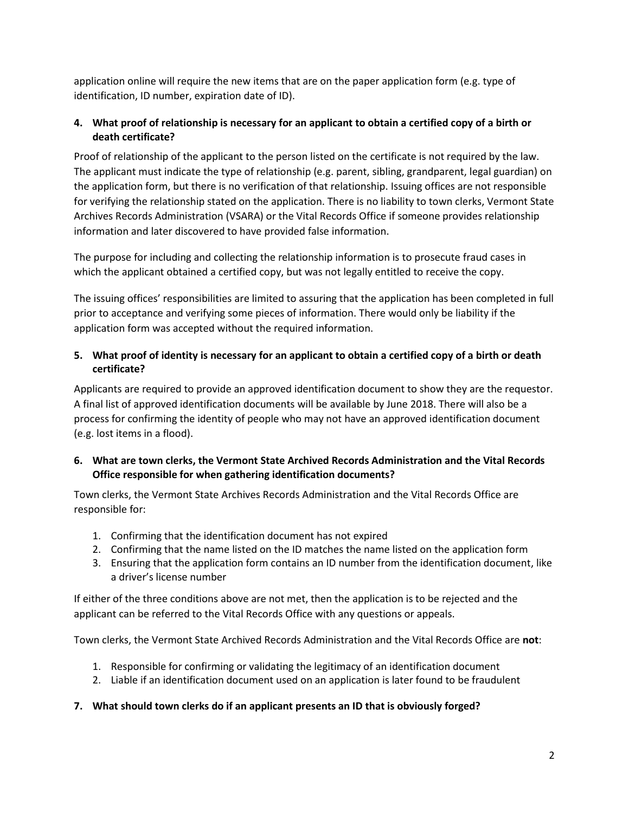application online will require the new items that are on the paper application form (e.g. type of identification, ID number, expiration date of ID).

## **4. What proof of relationship is necessary for an applicant to obtain a certified copy of a birth or death certificate?**

Proof of relationship of the applicant to the person listed on the certificate is not required by the law. The applicant must indicate the type of relationship (e.g. parent, sibling, grandparent, legal guardian) on the application form, but there is no verification of that relationship. Issuing offices are not responsible for verifying the relationship stated on the application. There is no liability to town clerks, Vermont State Archives Records Administration (VSARA) or the Vital Records Office if someone provides relationship information and later discovered to have provided false information.

The purpose for including and collecting the relationship information is to prosecute fraud cases in which the applicant obtained a certified copy, but was not legally entitled to receive the copy.

The issuing offices' responsibilities are limited to assuring that the application has been completed in full prior to acceptance and verifying some pieces of information. There would only be liability if the application form was accepted without the required information.

## **5. What proof of identity is necessary for an applicant to obtain a certified copy of a birth or death certificate?**

Applicants are required to provide an approved identification document to show they are the requestor. A final list of approved identification documents will be available by June 2018. There will also be a process for confirming the identity of people who may not have an approved identification document (e.g. lost items in a flood).

# **6. What are town clerks, the Vermont State Archived Records Administration and the Vital Records Office responsible for when gathering identification documents?**

Town clerks, the Vermont State Archives Records Administration and the Vital Records Office are responsible for:

- 1. Confirming that the identification document has not expired
- 2. Confirming that the name listed on the ID matches the name listed on the application form
- 3. Ensuring that the application form contains an ID number from the identification document, like a driver's license number

If either of the three conditions above are not met, then the application is to be rejected and the applicant can be referred to the Vital Records Office with any questions or appeals.

Town clerks, the Vermont State Archived Records Administration and the Vital Records Office are **not**:

- 1. Responsible for confirming or validating the legitimacy of an identification document
- 2. Liable if an identification document used on an application is later found to be fraudulent

## **7. What should town clerks do if an applicant presents an ID that is obviously forged?**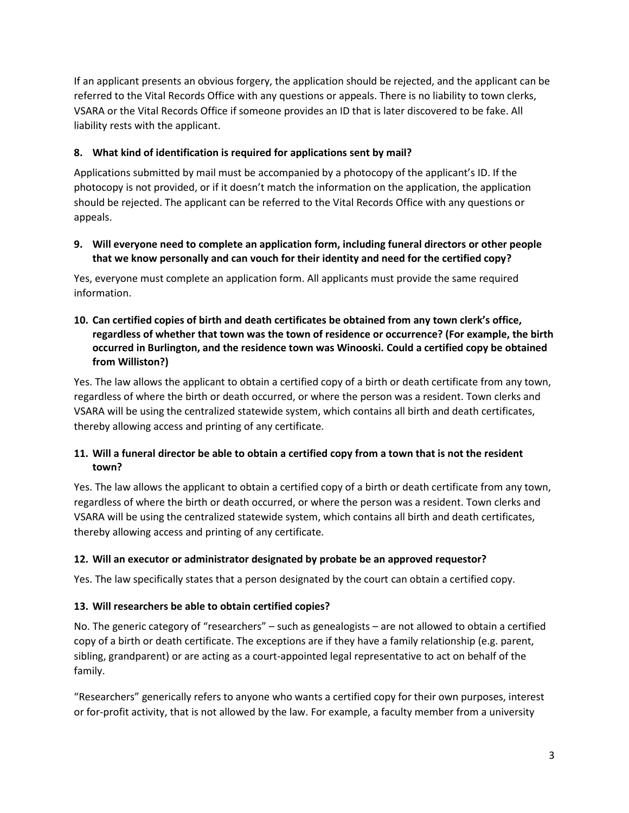If an applicant presents an obvious forgery, the application should be rejected, and the applicant can be referred to the Vital Records Office with any questions or appeals. There is no liability to town clerks, VSARA or the Vital Records Office if someone provides an ID that is later discovered to be fake. All liability rests with the applicant.

# **8. What kind of identification is required for applications sent by mail?**

Applications submitted by mail must be accompanied by a photocopy of the applicant's ID. If the photocopy is not provided, or if it doesn't match the information on the application, the application should be rejected. The applicant can be referred to the Vital Records Office with any questions or appeals.

## **9. Will everyone need to complete an application form, including funeral directors or other people that we know personally and can vouch for their identity and need for the certified copy?**

Yes, everyone must complete an application form. All applicants must provide the same required information.

## **10. Can certified copies of birth and death certificates be obtained from any town clerk's office, regardless of whether that town was the town of residence or occurrence? (For example, the birth occurred in Burlington, and the residence town was Winooski. Could a certified copy be obtained from Williston?)**

Yes. The law allows the applicant to obtain a certified copy of a birth or death certificate from any town, regardless of where the birth or death occurred, or where the person was a resident. Town clerks and VSARA will be using the centralized statewide system, which contains all birth and death certificates, thereby allowing access and printing of any certificate.

# **11. Will a funeral director be able to obtain a certified copy from a town that is not the resident town?**

Yes. The law allows the applicant to obtain a certified copy of a birth or death certificate from any town, regardless of where the birth or death occurred, or where the person was a resident. Town clerks and VSARA will be using the centralized statewide system, which contains all birth and death certificates, thereby allowing access and printing of any certificate.

## **12. Will an executor or administrator designated by probate be an approved requestor?**

Yes. The law specifically states that a person designated by the court can obtain a certified copy.

## **13. Will researchers be able to obtain certified copies?**

No. The generic category of "researchers" – such as genealogists – are not allowed to obtain a certified copy of a birth or death certificate. The exceptions are if they have a family relationship (e.g. parent, sibling, grandparent) or are acting as a court-appointed legal representative to act on behalf of the family.

"Researchers" generically refers to anyone who wants a certified copy for their own purposes, interest or for-profit activity, that is not allowed by the law. For example, a faculty member from a university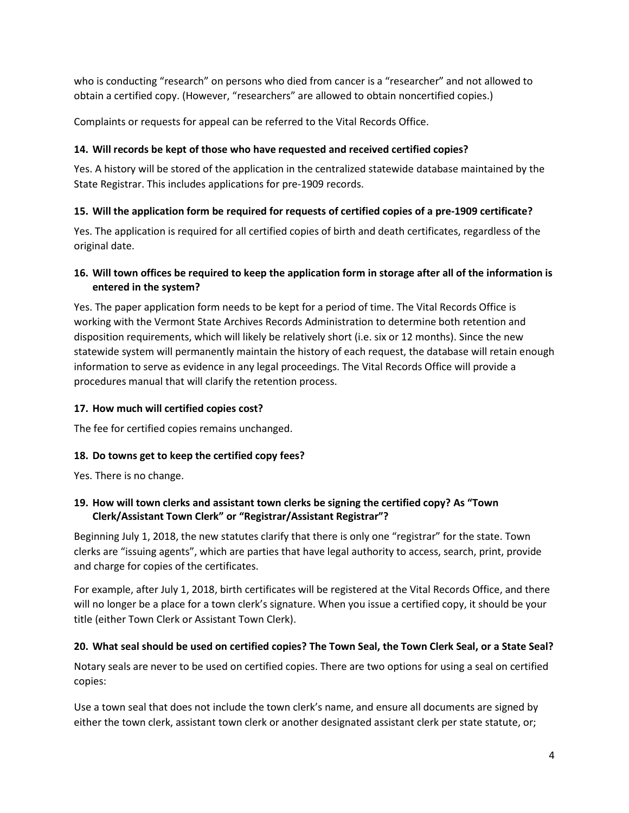who is conducting "research" on persons who died from cancer is a "researcher" and not allowed to obtain a certified copy. (However, "researchers" are allowed to obtain noncertified copies.)

Complaints or requests for appeal can be referred to the Vital Records Office.

# **14. Will records be kept of those who have requested and received certified copies?**

Yes. A history will be stored of the application in the centralized statewide database maintained by the State Registrar. This includes applications for pre-1909 records.

# **15. Will the application form be required for requests of certified copies of a pre-1909 certificate?**

Yes. The application is required for all certified copies of birth and death certificates, regardless of the original date.

# **16. Will town offices be required to keep the application form in storage after all of the information is entered in the system?**

Yes. The paper application form needs to be kept for a period of time. The Vital Records Office is working with the Vermont State Archives Records Administration to determine both retention and disposition requirements, which will likely be relatively short (i.e. six or 12 months). Since the new statewide system will permanently maintain the history of each request, the database will retain enough information to serve as evidence in any legal proceedings. The Vital Records Office will provide a procedures manual that will clarify the retention process.

## **17. How much will certified copies cost?**

The fee for certified copies remains unchanged.

## **18. Do towns get to keep the certified copy fees?**

Yes. There is no change.

# **19. How will town clerks and assistant town clerks be signing the certified copy? As "Town Clerk/Assistant Town Clerk" or "Registrar/Assistant Registrar"?**

Beginning July 1, 2018, the new statutes clarify that there is only one "registrar" for the state. Town clerks are "issuing agents", which are parties that have legal authority to access, search, print, provide and charge for copies of the certificates.

For example, after July 1, 2018, birth certificates will be registered at the Vital Records Office, and there will no longer be a place for a town clerk's signature. When you issue a certified copy, it should be your title (either Town Clerk or Assistant Town Clerk).

## **20. What seal should be used on certified copies? The Town Seal, the Town Clerk Seal, or a State Seal?**

Notary seals are never to be used on certified copies. There are two options for using a seal on certified copies:

Use a town seal that does not include the town clerk's name, and ensure all documents are signed by either the town clerk, assistant town clerk or another designated assistant clerk per state statute, or;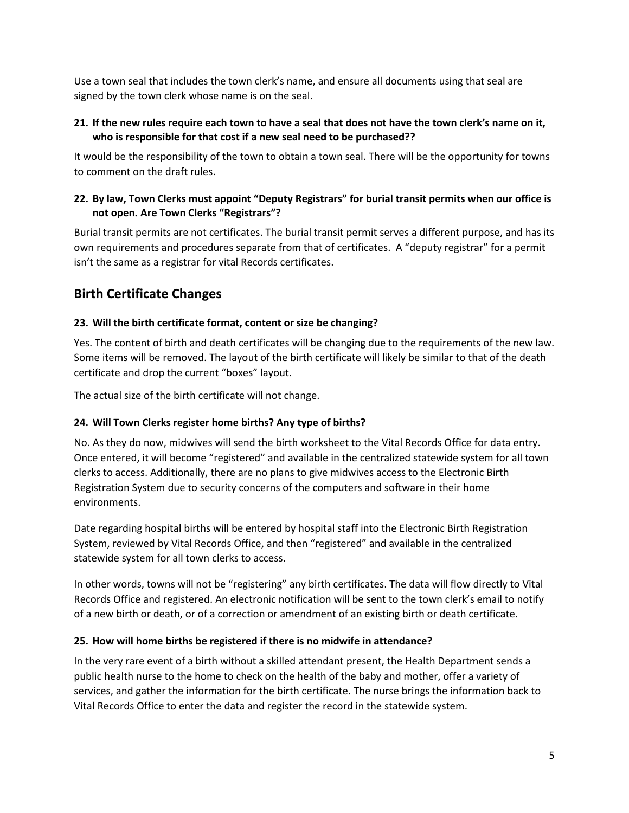Use a town seal that includes the town clerk's name, and ensure all documents using that seal are signed by the town clerk whose name is on the seal.

#### **21. If the new rules require each town to have a seal that does not have the town clerk's name on it, who is responsible for that cost if a new seal need to be purchased??**

It would be the responsibility of the town to obtain a town seal. There will be the opportunity for towns to comment on the draft rules.

## **22. By law, Town Clerks must appoint "Deputy Registrars" for burial transit permits when our office is not open. Are Town Clerks "Registrars"?**

Burial transit permits are not certificates. The burial transit permit serves a different purpose, and has its own requirements and procedures separate from that of certificates. A "deputy registrar" for a permit isn't the same as a registrar for vital Records certificates.

# <span id="page-4-0"></span>**Birth Certificate Changes**

## **23. Will the birth certificate format, content or size be changing?**

Yes. The content of birth and death certificates will be changing due to the requirements of the new law. Some items will be removed. The layout of the birth certificate will likely be similar to that of the death certificate and drop the current "boxes" layout.

The actual size of the birth certificate will not change.

## **24. Will Town Clerks register home births? Any type of births?**

No. As they do now, midwives will send the birth worksheet to the Vital Records Office for data entry. Once entered, it will become "registered" and available in the centralized statewide system for all town clerks to access. Additionally, there are no plans to give midwives access to the Electronic Birth Registration System due to security concerns of the computers and software in their home environments.

Date regarding hospital births will be entered by hospital staff into the Electronic Birth Registration System, reviewed by Vital Records Office, and then "registered" and available in the centralized statewide system for all town clerks to access.

In other words, towns will not be "registering" any birth certificates. The data will flow directly to Vital Records Office and registered. An electronic notification will be sent to the town clerk's email to notify of a new birth or death, or of a correction or amendment of an existing birth or death certificate.

## **25. How will home births be registered if there is no midwife in attendance?**

In the very rare event of a birth without a skilled attendant present, the Health Department sends a public health nurse to the home to check on the health of the baby and mother, offer a variety of services, and gather the information for the birth certificate. The nurse brings the information back to Vital Records Office to enter the data and register the record in the statewide system.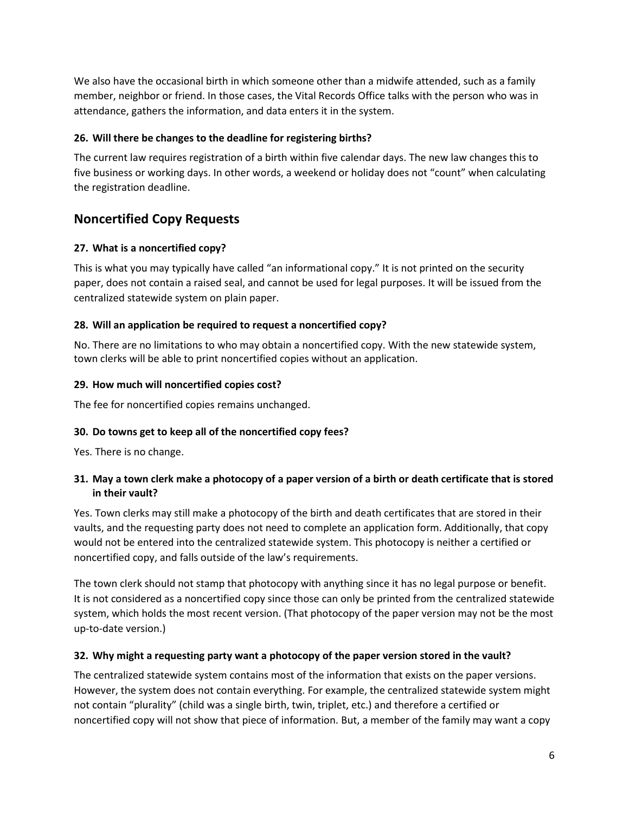We also have the occasional birth in which someone other than a midwife attended, such as a family member, neighbor or friend. In those cases, the Vital Records Office talks with the person who was in attendance, gathers the information, and data enters it in the system.

## **26. Will there be changes to the deadline for registering births?**

The current law requires registration of a birth within five calendar days. The new law changes this to five business or working days. In other words, a weekend or holiday does not "count" when calculating the registration deadline.

# <span id="page-5-0"></span>**Noncertified Copy Requests**

# **27. What is a noncertified copy?**

This is what you may typically have called "an informational copy." It is not printed on the security paper, does not contain a raised seal, and cannot be used for legal purposes. It will be issued from the centralized statewide system on plain paper.

# **28. Will an application be required to request a noncertified copy?**

No. There are no limitations to who may obtain a noncertified copy. With the new statewide system, town clerks will be able to print noncertified copies without an application.

## **29. How much will noncertified copies cost?**

The fee for noncertified copies remains unchanged.

## **30. Do towns get to keep all of the noncertified copy fees?**

Yes. There is no change.

## **31. May a town clerk make a photocopy of a paper version of a birth or death certificate that is stored in their vault?**

Yes. Town clerks may still make a photocopy of the birth and death certificates that are stored in their vaults, and the requesting party does not need to complete an application form. Additionally, that copy would not be entered into the centralized statewide system. This photocopy is neither a certified or noncertified copy, and falls outside of the law's requirements.

The town clerk should not stamp that photocopy with anything since it has no legal purpose or benefit. It is not considered as a noncertified copy since those can only be printed from the centralized statewide system, which holds the most recent version. (That photocopy of the paper version may not be the most up-to-date version.)

## **32. Why might a requesting party want a photocopy of the paper version stored in the vault?**

The centralized statewide system contains most of the information that exists on the paper versions. However, the system does not contain everything. For example, the centralized statewide system might not contain "plurality" (child was a single birth, twin, triplet, etc.) and therefore a certified or noncertified copy will not show that piece of information. But, a member of the family may want a copy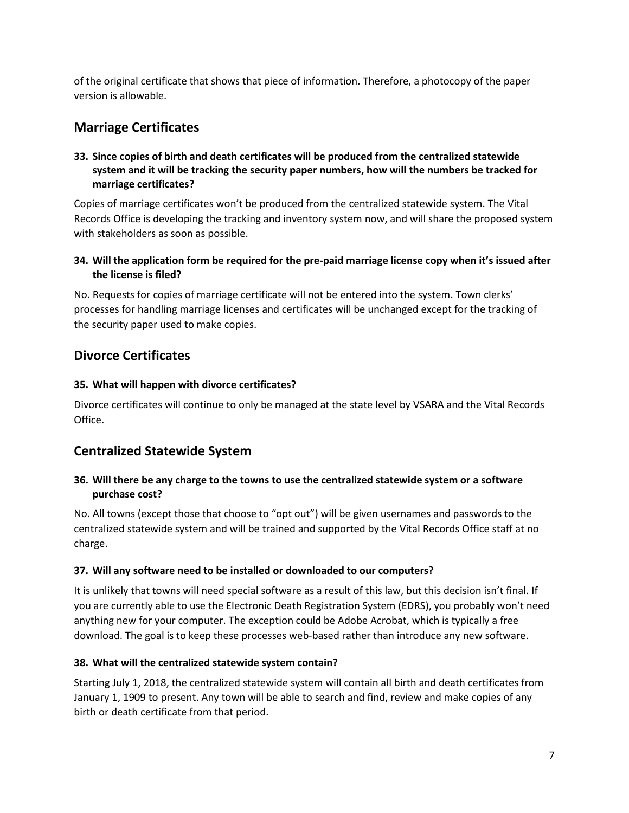of the original certificate that shows that piece of information. Therefore, a photocopy of the paper version is allowable.

# <span id="page-6-0"></span>**Marriage Certificates**

## **33. Since copies of birth and death certificates will be produced from the centralized statewide system and it will be tracking the security paper numbers, how will the numbers be tracked for marriage certificates?**

Copies of marriage certificates won't be produced from the centralized statewide system. The Vital Records Office is developing the tracking and inventory system now, and will share the proposed system with stakeholders as soon as possible.

## **34. Will the application form be required for the pre-paid marriage license copy when it's issued after the license is filed?**

No. Requests for copies of marriage certificate will not be entered into the system. Town clerks' processes for handling marriage licenses and certificates will be unchanged except for the tracking of the security paper used to make copies.

# <span id="page-6-1"></span>**Divorce Certificates**

## **35. What will happen with divorce certificates?**

Divorce certificates will continue to only be managed at the state level by VSARA and the Vital Records Office.

# <span id="page-6-2"></span>**Centralized Statewide System**

## **36. Will there be any charge to the towns to use the centralized statewide system or a software purchase cost?**

No. All towns (except those that choose to "opt out") will be given usernames and passwords to the centralized statewide system and will be trained and supported by the Vital Records Office staff at no charge.

## **37. Will any software need to be installed or downloaded to our computers?**

It is unlikely that towns will need special software as a result of this law, but this decision isn't final. If you are currently able to use the Electronic Death Registration System (EDRS), you probably won't need anything new for your computer. The exception could be Adobe Acrobat, which is typically a free download. The goal is to keep these processes web-based rather than introduce any new software.

## **38. What will the centralized statewide system contain?**

Starting July 1, 2018, the centralized statewide system will contain all birth and death certificates from January 1, 1909 to present. Any town will be able to search and find, review and make copies of any birth or death certificate from that period.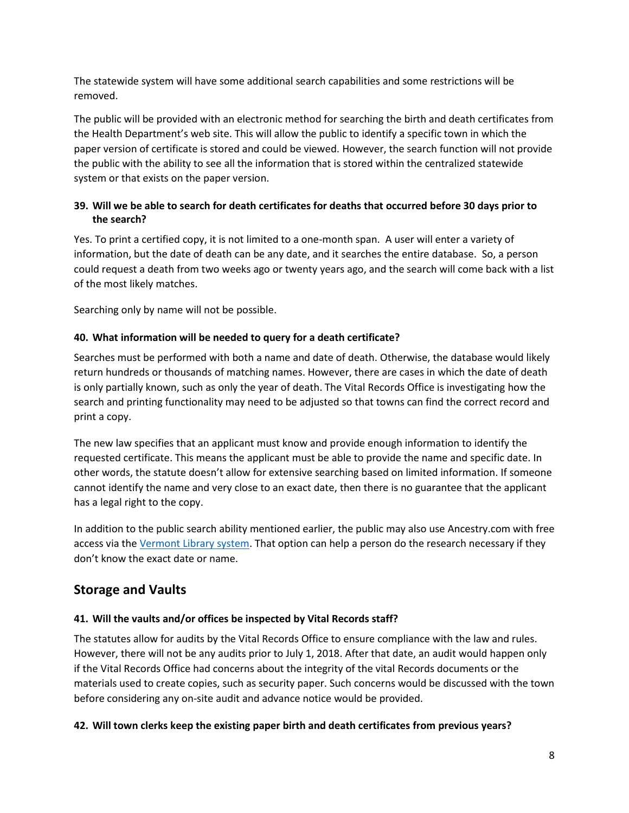The statewide system will have some additional search capabilities and some restrictions will be removed.

The public will be provided with an electronic method for searching the birth and death certificates from the Health Department's web site. This will allow the public to identify a specific town in which the paper version of certificate is stored and could be viewed. However, the search function will not provide the public with the ability to see all the information that is stored within the centralized statewide system or that exists on the paper version.

# **39. Will we be able to search for death certificates for deaths that occurred before 30 days prior to the search?**

Yes. To print a certified copy, it is not limited to a one-month span. A user will enter a variety of information, but the date of death can be any date, and it searches the entire database. So, a person could request a death from two weeks ago or twenty years ago, and the search will come back with a list of the most likely matches.

Searching only by name will not be possible.

# **40. What information will be needed to query for a death certificate?**

Searches must be performed with both a name and date of death. Otherwise, the database would likely return hundreds or thousands of matching names. However, there are cases in which the date of death is only partially known, such as only the year of death. The Vital Records Office is investigating how the search and printing functionality may need to be adjusted so that towns can find the correct record and print a copy.

The new law specifies that an applicant must know and provide enough information to identify the requested certificate. This means the applicant must be able to provide the name and specific date. In other words, the statute doesn't allow for extensive searching based on limited information. If someone cannot identify the name and very close to an exact date, then there is no guarantee that the applicant has a legal right to the copy.

In addition to the public search ability mentioned earlier, the public may also use Ancestry.com with free access via the [Vermont Library system.](http://libraries.vermont.gov/state_library/genealogy) That option can help a person do the research necessary if they don't know the exact date or name.

# <span id="page-7-0"></span>**Storage and Vaults**

# **41. Will the vaults and/or offices be inspected by Vital Records staff?**

The statutes allow for audits by the Vital Records Office to ensure compliance with the law and rules. However, there will not be any audits prior to July 1, 2018. After that date, an audit would happen only if the Vital Records Office had concerns about the integrity of the vital Records documents or the materials used to create copies, such as security paper. Such concerns would be discussed with the town before considering any on-site audit and advance notice would be provided.

## **42. Will town clerks keep the existing paper birth and death certificates from previous years?**